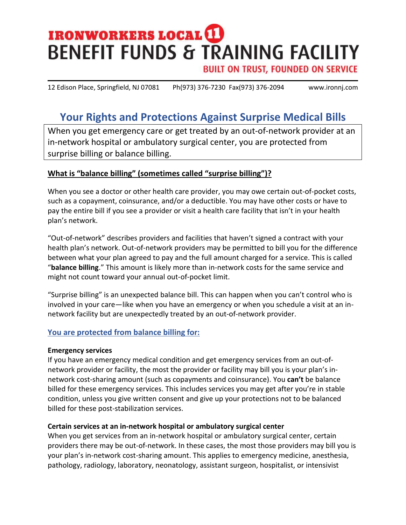# **IRONWORKERS LOCAL (I) BENEFIT FUNDS & TRAINING FACILITY**

**BUILT ON TRUST, FOUNDED ON SERVICE** 

12 Edison Place, Springfield, NJ 07081 Ph(973) 376-7230 Fax(973) 376-2094 www.ironnj.com

## **Your Rights and Protections Against Surprise Medical Bills**

When you get emergency care or get treated by an out-of-network provider at an in-network hospital or ambulatory surgical center, you are protected from surprise billing or balance billing.

#### **What is "balance billing" (sometimes called "surprise billing")?**

When you see a doctor or other health care provider, you may owe certain out-of-pocket costs, such as a copayment, coinsurance, and/or a deductible. You may have other costs or have to pay the entire bill if you see a provider or visit a health care facility that isn't in your health plan's network.

"Out-of-network" describes providers and facilities that haven't signed a contract with your health plan's network. Out-of-network providers may be permitted to bill you for the difference between what your plan agreed to pay and the full amount charged for a service. This is called "**balance billing**." This amount is likely more than in-network costs for the same service and might not count toward your annual out-of-pocket limit.

"Surprise billing" is an unexpected balance bill. This can happen when you can't control who is involved in your care—like when you have an emergency or when you schedule a visit at an innetwork facility but are unexpectedly treated by an out-of-network provider.

#### **You are protected from balance billing for:**

#### **Emergency services**

If you have an emergency medical condition and get emergency services from an out-ofnetwork provider or facility, the most the provider or facility may bill you is your plan's innetwork cost-sharing amount (such as copayments and coinsurance). You **can't** be balance billed for these emergency services. This includes services you may get after you're in stable condition, unless you give written consent and give up your protections not to be balanced billed for these post-stabilization services.

#### **Certain services at an in-network hospital or ambulatory surgical center**

When you get services from an in-network hospital or ambulatory surgical center, certain providers there may be out-of-network. In these cases, the most those providers may bill you is your plan's in-network cost-sharing amount. This applies to emergency medicine, anesthesia, pathology, radiology, laboratory, neonatology, assistant surgeon, hospitalist, or intensivist